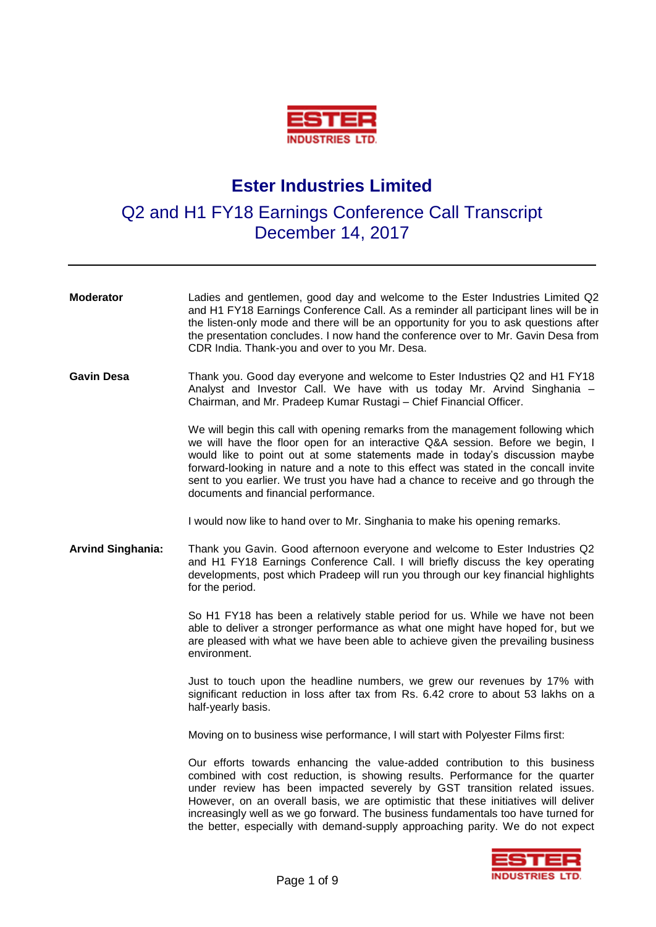

## **Ester Industries Limited**

## Q2 and H1 FY18 Earnings Conference Call Transcript December 14, 2017

| <b>Moderator</b>         | Ladies and gentlemen, good day and welcome to the Ester Industries Limited Q2<br>and H1 FY18 Earnings Conference Call. As a reminder all participant lines will be in<br>the listen-only mode and there will be an opportunity for you to ask questions after<br>the presentation concludes. I now hand the conference over to Mr. Gavin Desa from<br>CDR India. Thank-you and over to you Mr. Desa.                                                                                                    |
|--------------------------|---------------------------------------------------------------------------------------------------------------------------------------------------------------------------------------------------------------------------------------------------------------------------------------------------------------------------------------------------------------------------------------------------------------------------------------------------------------------------------------------------------|
| <b>Gavin Desa</b>        | Thank you. Good day everyone and welcome to Ester Industries Q2 and H1 FY18<br>Analyst and Investor Call. We have with us today Mr. Arvind Singhania -<br>Chairman, and Mr. Pradeep Kumar Rustagi - Chief Financial Officer.                                                                                                                                                                                                                                                                            |
|                          | We will begin this call with opening remarks from the management following which<br>we will have the floor open for an interactive Q&A session. Before we begin, I<br>would like to point out at some statements made in today's discussion maybe<br>forward-looking in nature and a note to this effect was stated in the concall invite<br>sent to you earlier. We trust you have had a chance to receive and go through the<br>documents and financial performance.                                  |
|                          | I would now like to hand over to Mr. Singhania to make his opening remarks.                                                                                                                                                                                                                                                                                                                                                                                                                             |
| <b>Arvind Singhania:</b> | Thank you Gavin. Good afternoon everyone and welcome to Ester Industries Q2<br>and H1 FY18 Earnings Conference Call. I will briefly discuss the key operating<br>developments, post which Pradeep will run you through our key financial highlights<br>for the period.                                                                                                                                                                                                                                  |
|                          | So H1 FY18 has been a relatively stable period for us. While we have not been<br>able to deliver a stronger performance as what one might have hoped for, but we<br>are pleased with what we have been able to achieve given the prevailing business<br>environment.                                                                                                                                                                                                                                    |
|                          | Just to touch upon the headline numbers, we grew our revenues by 17% with<br>significant reduction in loss after tax from Rs. 6.42 crore to about 53 lakhs on a<br>half-yearly basis.                                                                                                                                                                                                                                                                                                                   |
|                          | Moving on to business wise performance, I will start with Polyester Films first:                                                                                                                                                                                                                                                                                                                                                                                                                        |
|                          | Our efforts towards enhancing the value-added contribution to this business<br>combined with cost reduction, is showing results. Performance for the quarter<br>under review has been impacted severely by GST transition related issues.<br>However, on an overall basis, we are optimistic that these initiatives will deliver<br>increasingly well as we go forward. The business fundamentals too have turned for<br>the better, especially with demand-supply approaching parity. We do not expect |

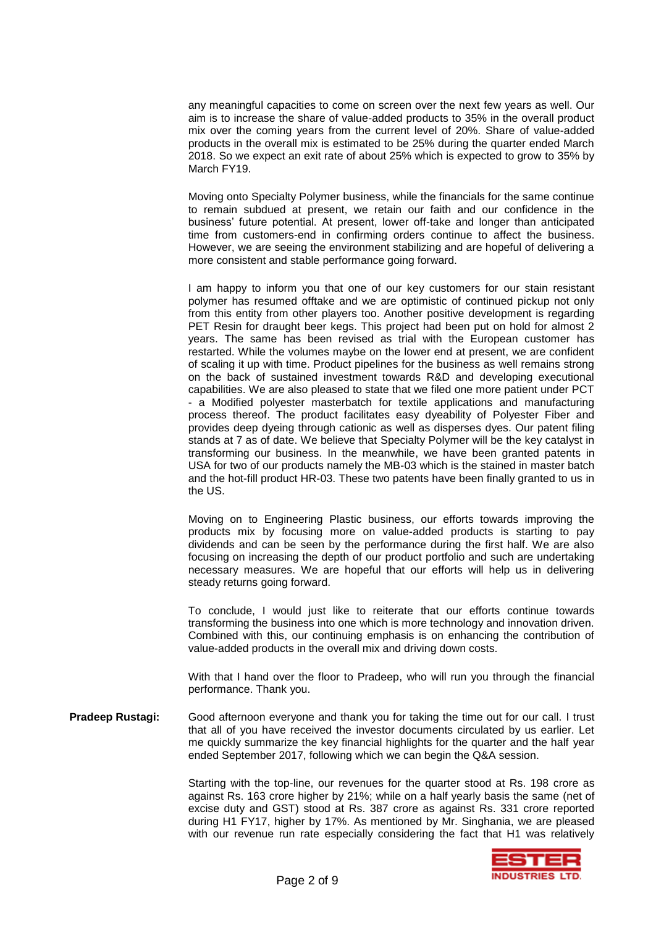any meaningful capacities to come on screen over the next few years as well. Our aim is to increase the share of value-added products to 35% in the overall product mix over the coming years from the current level of 20%. Share of value-added products in the overall mix is estimated to be 25% during the quarter ended March 2018. So we expect an exit rate of about 25% which is expected to grow to 35% by March FY19.

Moving onto Specialty Polymer business, while the financials for the same continue to remain subdued at present, we retain our faith and our confidence in the business' future potential. At present, lower off-take and longer than anticipated time from customers-end in confirming orders continue to affect the business. However, we are seeing the environment stabilizing and are hopeful of delivering a more consistent and stable performance going forward.

I am happy to inform you that one of our key customers for our stain resistant polymer has resumed offtake and we are optimistic of continued pickup not only from this entity from other players too. Another positive development is regarding PET Resin for draught beer kegs. This project had been put on hold for almost 2 years. The same has been revised as trial with the European customer has restarted. While the volumes maybe on the lower end at present, we are confident of scaling it up with time. Product pipelines for the business as well remains strong on the back of sustained investment towards R&D and developing executional capabilities. We are also pleased to state that we filed one more patient under PCT - a Modified polyester masterbatch for textile applications and manufacturing process thereof. The product facilitates easy dyeability of Polyester Fiber and provides deep dyeing through cationic as well as disperses dyes. Our patent filing stands at 7 as of date. We believe that Specialty Polymer will be the key catalyst in transforming our business. In the meanwhile, we have been granted patents in USA for two of our products namely the MB-03 which is the stained in master batch and the hot-fill product HR-03. These two patents have been finally granted to us in the US.

Moving on to Engineering Plastic business, our efforts towards improving the products mix by focusing more on value-added products is starting to pay dividends and can be seen by the performance during the first half. We are also focusing on increasing the depth of our product portfolio and such are undertaking necessary measures. We are hopeful that our efforts will help us in delivering steady returns going forward.

To conclude, I would just like to reiterate that our efforts continue towards transforming the business into one which is more technology and innovation driven. Combined with this, our continuing emphasis is on enhancing the contribution of value-added products in the overall mix and driving down costs.

With that I hand over the floor to Pradeep, who will run you through the financial performance. Thank you.

**Pradeep Rustagi:** Good afternoon everyone and thank you for taking the time out for our call. I trust that all of you have received the investor documents circulated by us earlier. Let me quickly summarize the key financial highlights for the quarter and the half year ended September 2017, following which we can begin the Q&A session.

> Starting with the top-line, our revenues for the quarter stood at Rs. 198 crore as against Rs. 163 crore higher by 21%; while on a half yearly basis the same (net of excise duty and GST) stood at Rs. 387 crore as against Rs. 331 crore reported during H1 FY17, higher by 17%. As mentioned by Mr. Singhania, we are pleased with our revenue run rate especially considering the fact that H1 was relatively

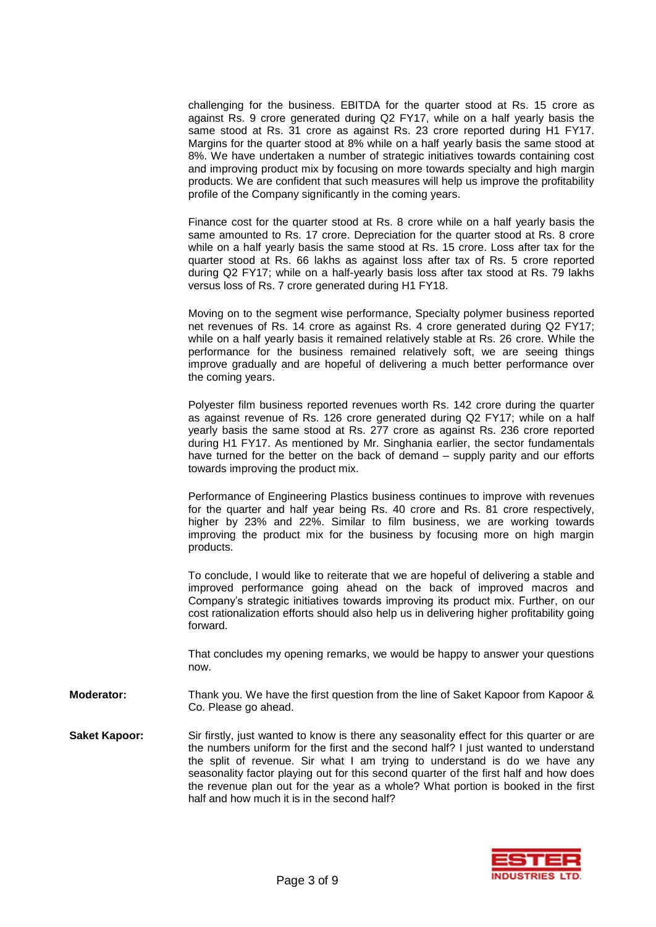challenging for the business. EBITDA for the quarter stood at Rs. 15 crore as against Rs. 9 crore generated during Q2 FY17, while on a half yearly basis the same stood at Rs. 31 crore as against Rs. 23 crore reported during H1 FY17. Margins for the quarter stood at 8% while on a half yearly basis the same stood at 8%. We have undertaken a number of strategic initiatives towards containing cost and improving product mix by focusing on more towards specialty and high margin products. We are confident that such measures will help us improve the profitability profile of the Company significantly in the coming years.

Finance cost for the quarter stood at Rs. 8 crore while on a half yearly basis the same amounted to Rs. 17 crore. Depreciation for the quarter stood at Rs. 8 crore while on a half yearly basis the same stood at Rs. 15 crore. Loss after tax for the quarter stood at Rs. 66 lakhs as against loss after tax of Rs. 5 crore reported during Q2 FY17; while on a half-yearly basis loss after tax stood at Rs. 79 lakhs versus loss of Rs. 7 crore generated during H1 FY18.

Moving on to the segment wise performance, Specialty polymer business reported net revenues of Rs. 14 crore as against Rs. 4 crore generated during Q2 FY17; while on a half yearly basis it remained relatively stable at Rs. 26 crore. While the performance for the business remained relatively soft, we are seeing things improve gradually and are hopeful of delivering a much better performance over the coming years.

Polyester film business reported revenues worth Rs. 142 crore during the quarter as against revenue of Rs. 126 crore generated during Q2 FY17; while on a half yearly basis the same stood at Rs. 277 crore as against Rs. 236 crore reported during H1 FY17. As mentioned by Mr. Singhania earlier, the sector fundamentals have turned for the better on the back of demand – supply parity and our efforts towards improving the product mix.

Performance of Engineering Plastics business continues to improve with revenues for the quarter and half year being Rs. 40 crore and Rs. 81 crore respectively, higher by 23% and 22%. Similar to film business, we are working towards improving the product mix for the business by focusing more on high margin products.

To conclude, I would like to reiterate that we are hopeful of delivering a stable and improved performance going ahead on the back of improved macros and Company's strategic initiatives towards improving its product mix. Further, on our cost rationalization efforts should also help us in delivering higher profitability going forward.

That concludes my opening remarks, we would be happy to answer your questions now.

- **Moderator:** Thank you. We have the first question from the line of Saket Kapoor from Kapoor & Co. Please go ahead.
- **Saket Kapoor:** Sir firstly, just wanted to know is there any seasonality effect for this quarter or are the numbers uniform for the first and the second half? I just wanted to understand the split of revenue. Sir what I am trying to understand is do we have any seasonality factor playing out for this second quarter of the first half and how does the revenue plan out for the year as a whole? What portion is booked in the first half and how much it is in the second half?

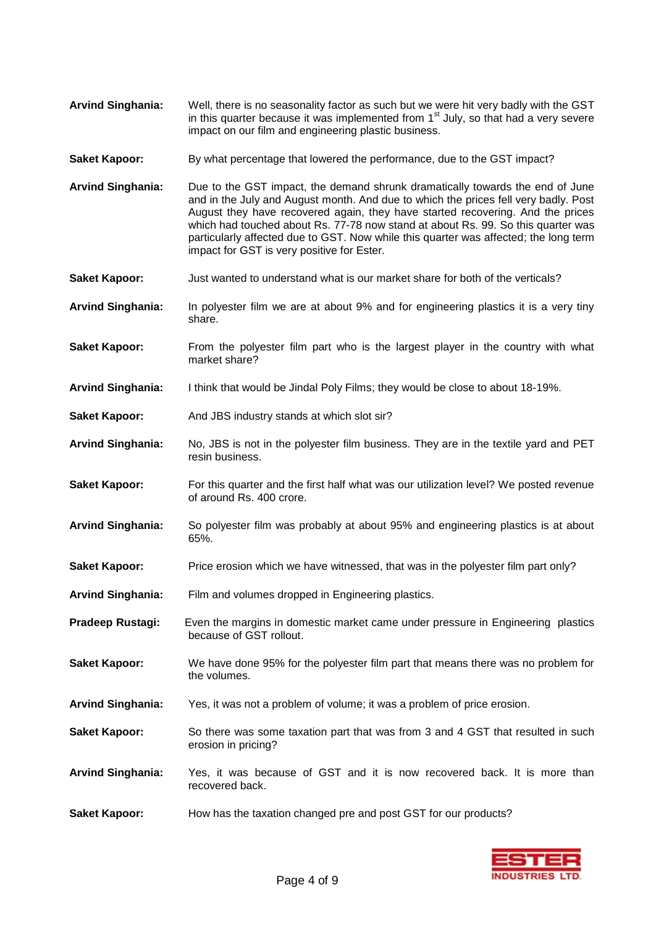- **Arvind Singhania:** Well, there is no seasonality factor as such but we were hit very badly with the GST in this quarter because it was implemented from  $1<sup>st</sup>$  July, so that had a very severe impact on our film and engineering plastic business.
- **Saket Kapoor:** By what percentage that lowered the performance, due to the GST impact?
- **Arvind Singhania:** Due to the GST impact, the demand shrunk dramatically towards the end of June and in the July and August month. And due to which the prices fell very badly. Post August they have recovered again, they have started recovering. And the prices which had touched about Rs. 77-78 now stand at about Rs. 99. So this quarter was particularly affected due to GST. Now while this quarter was affected; the long term impact for GST is very positive for Ester.
- Saket Kapoor: **Just wanted to understand what is our market share for both of the verticals?**
- **Arvind Singhania:** In polyester film we are at about 9% and for engineering plastics it is a very tiny share.
- **Saket Kapoor:** From the polyester film part who is the largest player in the country with what market share?
- **Arvind Singhania:** I think that would be Jindal Poly Films; they would be close to about 18-19%.
- **Saket Kapoor:** And JBS industry stands at which slot sir?
- **Arvind Singhania:** No, JBS is not in the polyester film business. They are in the textile yard and PET resin business.
- **Saket Kapoor:** For this quarter and the first half what was our utilization level? We posted revenue of around Rs. 400 crore.
- **Arvind Singhania:** So polyester film was probably at about 95% and engineering plastics is at about 65%.
- **Saket Kapoor:** Price erosion which we have witnessed, that was in the polyester film part only?
- **Arvind Singhania:** Film and volumes dropped in Engineering plastics.
- **Pradeep Rustagi:** Even the margins in domestic market came under pressure in Engineering plastics because of GST rollout.
- **Saket Kapoor:** We have done 95% for the polyester film part that means there was no problem for the volumes.
- **Arvind Singhania:** Yes, it was not a problem of volume; it was a problem of price erosion.
- **Saket Kapoor:** So there was some taxation part that was from 3 and 4 GST that resulted in such erosion in pricing?
- **Arvind Singhania:** Yes, it was because of GST and it is now recovered back. It is more than recovered back.
- **Saket Kapoor:** How has the taxation changed pre and post GST for our products?

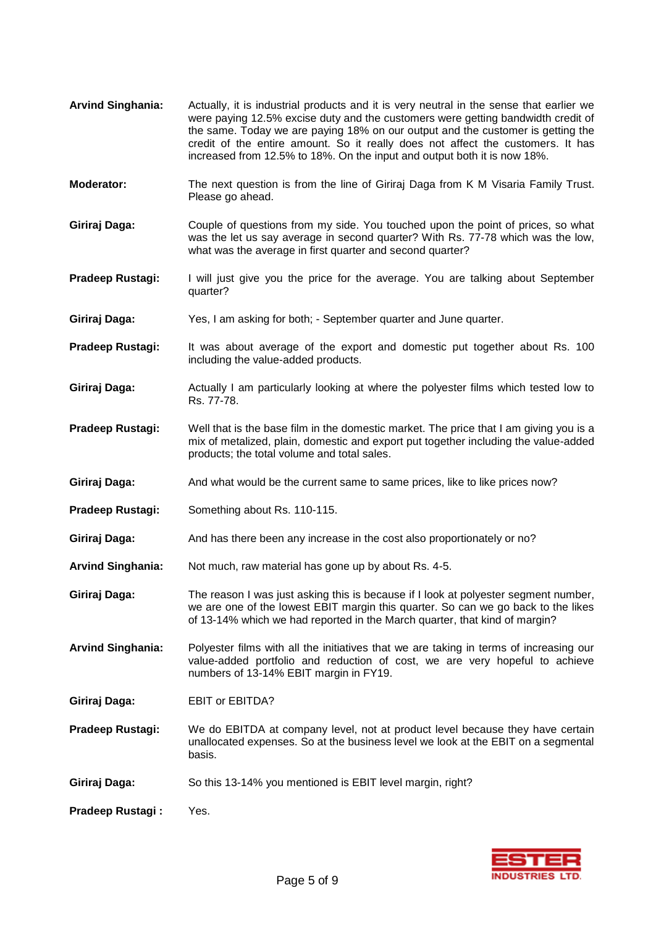were paying 12.5% excise duty and the customers were getting bandwidth credit of the same. Today we are paying 18% on our output and the customer is getting the credit of the entire amount. So it really does not affect the customers. It has increased from 12.5% to 18%. On the input and output both it is now 18%. **Moderator:** The next question is from the line of Giriraj Daga from K M Visaria Family Trust. Please go ahead. **Giriraj Daga:** Couple of questions from my side. You touched upon the point of prices, so what was the let us say average in second quarter? With Rs. 77-78 which was the low, what was the average in first quarter and second quarter? **Pradeep Rustagi:** I will just give you the price for the average. You are talking about September quarter? **Giriraj Daga:** Yes, I am asking for both; - September quarter and June quarter. **Pradeep Rustagi:** It was about average of the export and domestic put together about Rs. 100 including the value-added products. **Giriraj Daga:** Actually I am particularly looking at where the polyester films which tested low to Rs. 77-78. **Pradeep Rustagi:** Well that is the base film in the domestic market. The price that I am giving you is a mix of metalized, plain, domestic and export put together including the value-added products; the total volume and total sales. Giriraj Daga: And what would be the current same to same prices, like to like prices now? **Pradeep Rustagi:** Something about Rs. 110-115. **Giriraj Daga:** And has there been any increase in the cost also proportionately or no? **Arvind Singhania:** Not much, raw material has gone up by about Rs. 4-5. **Giriraj Daga:** The reason I was just asking this is because if I look at polyester segment number, we are one of the lowest EBIT margin this quarter. So can we go back to the likes of 13-14% which we had reported in the March quarter, that kind of margin? **Arvind Singhania:** Polyester films with all the initiatives that we are taking in terms of increasing our value-added portfolio and reduction of cost, we are very hopeful to achieve numbers of 13-14% EBIT margin in FY19. **Giriraj Daga:** EBIT or EBITDA? **Pradeep Rustagi:** We do EBITDA at company level, not at product level because they have certain unallocated expenses. So at the business level we look at the EBIT on a segmental basis. **Giriraj Daga:** So this 13-14% you mentioned is EBIT level margin, right? **Pradeep Rustagi :** Yes.

**Arvind Singhania:** Actually, it is industrial products and it is very neutral in the sense that earlier we

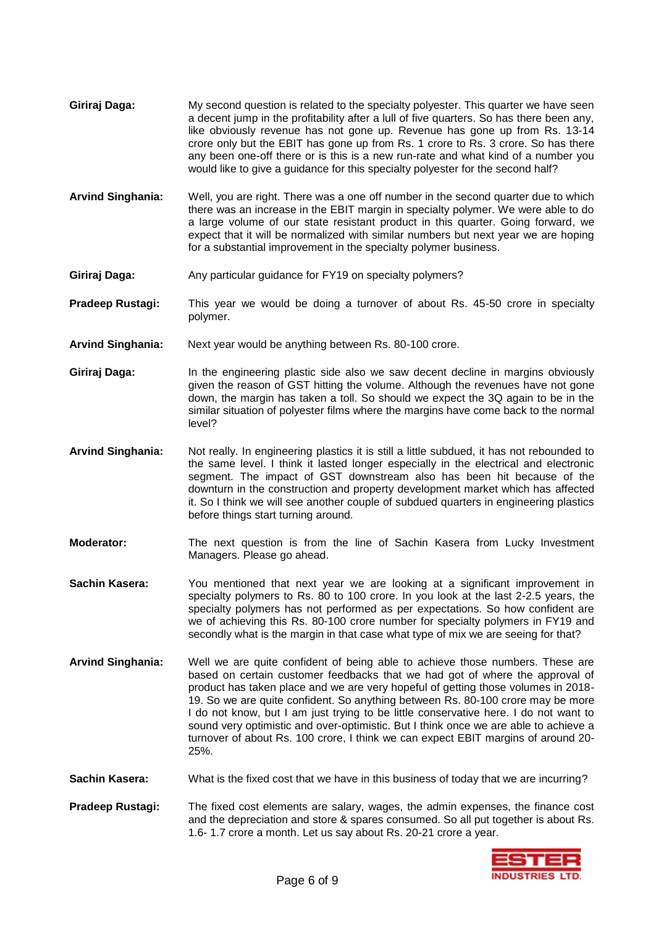- **Giriraj Daga:** My second question is related to the specialty polyester. This quarter we have seen a decent jump in the profitability after a lull of five quarters. So has there been any, like obviously revenue has not gone up. Revenue has gone up from Rs. 13-14 crore only but the EBIT has gone up from Rs. 1 crore to Rs. 3 crore. So has there any been one-off there or is this is a new run-rate and what kind of a number you would like to give a guidance for this specialty polyester for the second half?
- **Arvind Singhania:** Well, you are right. There was a one off number in the second quarter due to which there was an increase in the EBIT margin in specialty polymer. We were able to do a large volume of our state resistant product in this quarter. Going forward, we expect that it will be normalized with similar numbers but next year we are hoping for a substantial improvement in the specialty polymer business.
- **Giriraj Daga:** Any particular guidance for FY19 on specialty polymers?
- **Pradeep Rustagi:** This year we would be doing a turnover of about Rs. 45-50 crore in specialty polymer.
- **Arvind Singhania:** Next year would be anything between Rs. 80-100 crore.
- **Giriraj Daga:** In the engineering plastic side also we saw decent decline in margins obviously given the reason of GST hitting the volume. Although the revenues have not gone down, the margin has taken a toll. So should we expect the 3Q again to be in the similar situation of polyester films where the margins have come back to the normal level?
- **Arvind Singhania:** Not really. In engineering plastics it is still a little subdued, it has not rebounded to the same level. I think it lasted longer especially in the electrical and electronic segment. The impact of GST downstream also has been hit because of the downturn in the construction and property development market which has affected it. So I think we will see another couple of subdued quarters in engineering plastics before things start turning around.
- **Moderator:** The next question is from the line of Sachin Kasera from Lucky Investment Managers. Please go ahead.
- **Sachin Kasera:** You mentioned that next year we are looking at a significant improvement in specialty polymers to Rs. 80 to 100 crore. In you look at the last 2-2.5 years, the specialty polymers has not performed as per expectations. So how confident are we of achieving this Rs. 80-100 crore number for specialty polymers in FY19 and secondly what is the margin in that case what type of mix we are seeing for that?
- **Arvind Singhania:** Well we are quite confident of being able to achieve those numbers. These are based on certain customer feedbacks that we had got of where the approval of product has taken place and we are very hopeful of getting those volumes in 2018- 19. So we are quite confident. So anything between Rs. 80-100 crore may be more I do not know, but I am just trying to be little conservative here. I do not want to sound very optimistic and over-optimistic. But I think once we are able to achieve a turnover of about Rs. 100 crore, I think we can expect EBIT margins of around 20- 25%.
- **Sachin Kasera:** What is the fixed cost that we have in this business of today that we are incurring?
- **Pradeep Rustagi:** The fixed cost elements are salary, wages, the admin expenses, the finance cost and the depreciation and store & spares consumed. So all put together is about Rs. 1.6- 1.7 crore a month. Let us say about Rs. 20-21 crore a year.

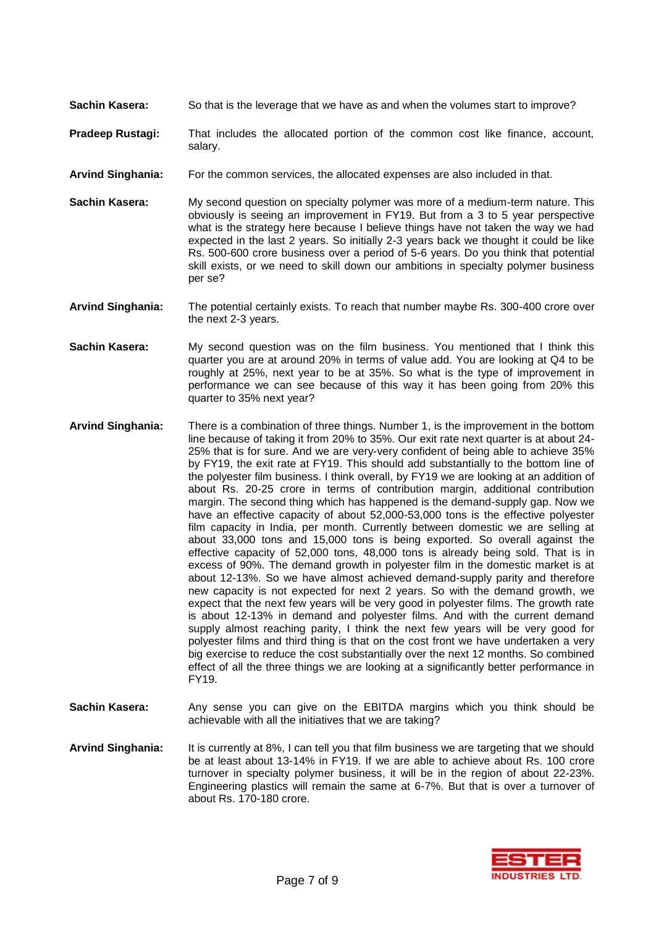- **Sachin Kasera:** So that is the leverage that we have as and when the volumes start to improve?
- **Pradeep Rustagi:** That includes the allocated portion of the common cost like finance, account, salary.
- **Arvind Singhania:** For the common services, the allocated expenses are also included in that.
- **Sachin Kasera:** My second question on specialty polymer was more of a medium-term nature. This obviously is seeing an improvement in FY19. But from a 3 to 5 year perspective what is the strategy here because I believe things have not taken the way we had expected in the last 2 years. So initially 2-3 years back we thought it could be like Rs. 500-600 crore business over a period of 5-6 years. Do you think that potential skill exists, or we need to skill down our ambitions in specialty polymer business per se?
- **Arvind Singhania:** The potential certainly exists. To reach that number maybe Rs. 300-400 crore over the next 2-3 years.
- **Sachin Kasera:** My second question was on the film business. You mentioned that I think this quarter you are at around 20% in terms of value add. You are looking at Q4 to be roughly at 25%, next year to be at 35%. So what is the type of improvement in performance we can see because of this way it has been going from 20% this quarter to 35% next year?
- **Arvind Singhania:** There is a combination of three things. Number 1, is the improvement in the bottom line because of taking it from 20% to 35%. Our exit rate next quarter is at about 24- 25% that is for sure. And we are very-very confident of being able to achieve 35% by FY19, the exit rate at FY19. This should add substantially to the bottom line of the polyester film business. I think overall, by FY19 we are looking at an addition of about Rs. 20-25 crore in terms of contribution margin, additional contribution margin. The second thing which has happened is the demand-supply gap. Now we have an effective capacity of about 52,000-53,000 tons is the effective polyester film capacity in India, per month. Currently between domestic we are selling at about 33,000 tons and 15,000 tons is being exported. So overall against the effective capacity of 52,000 tons, 48,000 tons is already being sold. That is in excess of 90%. The demand growth in polyester film in the domestic market is at about 12-13%. So we have almost achieved demand-supply parity and therefore new capacity is not expected for next 2 years. So with the demand growth, we expect that the next few years will be very good in polyester films. The growth rate is about 12-13% in demand and polyester films. And with the current demand supply almost reaching parity, I think the next few years will be very good for polyester films and third thing is that on the cost front we have undertaken a very big exercise to reduce the cost substantially over the next 12 months. So combined effect of all the three things we are looking at a significantly better performance in FY19.
- **Sachin Kasera:** Any sense you can give on the EBITDA margins which you think should be achievable with all the initiatives that we are taking?
- **Arvind Singhania:** It is currently at 8%, I can tell you that film business we are targeting that we should be at least about 13-14% in FY19. If we are able to achieve about Rs. 100 crore turnover in specialty polymer business, it will be in the region of about 22-23%. Engineering plastics will remain the same at 6-7%. But that is over a turnover of about Rs. 170-180 crore.

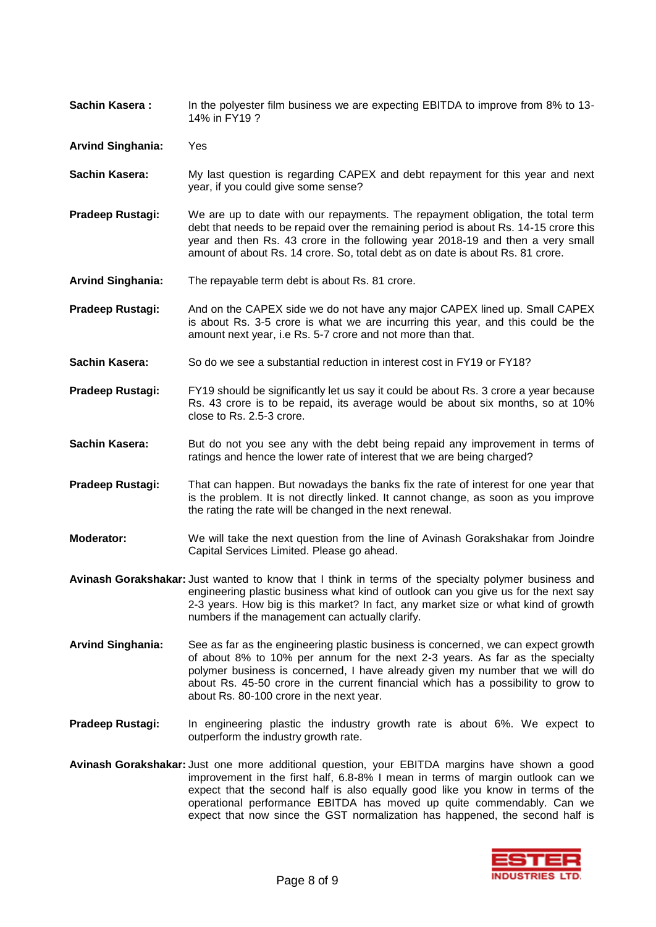**Sachin Kasera :** In the polyester film business we are expecting EBITDA to improve from 8% to 13-14% in FY19 ?

**Arvind Singhania:** Yes

- **Sachin Kasera:** My last question is regarding CAPEX and debt repayment for this year and next year, if you could give some sense?
- **Pradeep Rustagi:** We are up to date with our repayments. The repayment obligation, the total term debt that needs to be repaid over the remaining period is about Rs. 14-15 crore this year and then Rs. 43 crore in the following year 2018-19 and then a very small amount of about Rs. 14 crore. So, total debt as on date is about Rs. 81 crore.
- **Arvind Singhania:** The repayable term debt is about Rs. 81 crore.

**Pradeep Rustagi:** And on the CAPEX side we do not have any major CAPEX lined up. Small CAPEX is about Rs. 3-5 crore is what we are incurring this year, and this could be the amount next year, i.e Rs. 5-7 crore and not more than that.

- **Sachin Kasera:** So do we see a substantial reduction in interest cost in FY19 or FY18?
- **Pradeep Rustagi:** FY19 should be significantly let us say it could be about Rs. 3 crore a year because Rs. 43 crore is to be repaid, its average would be about six months, so at 10% close to Rs. 2.5-3 crore.
- **Sachin Kasera:** But do not you see any with the debt being repaid any improvement in terms of ratings and hence the lower rate of interest that we are being charged?
- **Pradeep Rustagi:** That can happen. But nowadays the banks fix the rate of interest for one year that is the problem. It is not directly linked. It cannot change, as soon as you improve the rating the rate will be changed in the next renewal.
- **Moderator:** We will take the next question from the line of Avinash Gorakshakar from Joindre Capital Services Limited. Please go ahead.
- **Avinash Gorakshakar:** Just wanted to know that I think in terms of the specialty polymer business and engineering plastic business what kind of outlook can you give us for the next say 2-3 years. How big is this market? In fact, any market size or what kind of growth numbers if the management can actually clarify.
- **Arvind Singhania:** See as far as the engineering plastic business is concerned, we can expect growth of about 8% to 10% per annum for the next 2-3 years. As far as the specialty polymer business is concerned, I have already given my number that we will do about Rs. 45-50 crore in the current financial which has a possibility to grow to about Rs. 80-100 crore in the next year.
- **Pradeep Rustagi:** In engineering plastic the industry growth rate is about 6%. We expect to outperform the industry growth rate.
- **Avinash Gorakshakar:** Just one more additional question, your EBITDA margins have shown a good improvement in the first half, 6.8-8% I mean in terms of margin outlook can we expect that the second half is also equally good like you know in terms of the operational performance EBITDA has moved up quite commendably. Can we expect that now since the GST normalization has happened, the second half is